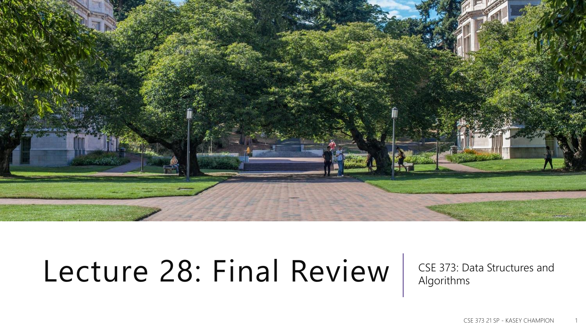

## Lecture 28: Final Review | CSE 373: Data Structures and

Algorithms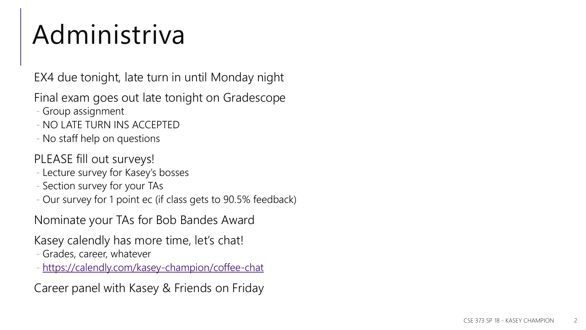### Administriva

EX4 due tonight, late turn in until Monday night

Final exam goes out late tonight on Gradescope

- Group assignment
- NO LATE TURN INS ACCEPTED
- No staff help on questions

PLEASE fill out surveys!

- Lecture survey for Kasey's bosses
- Section survey for your TAs
- Our survey for 1 point ec (if class gets to 90.5% feedback)

Nominate your TAs for Bob Bandes Award

Kasey calendly has more time, let's chat!

- Grades, career, whatever

- <https://calendly.com/kasey-champion/coffee-chat>

Career panel with Kasey & Friends on Friday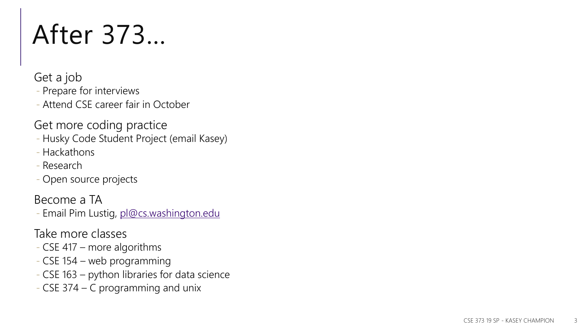### After 373…

Get a job

- Prepare for interviews

- Attend CSE career fair in October

Get more coding practice

- Husky Code Student Project (email Kasey)

- Hackathons
- Research

- Open source projects

Become a TA

- Email Pim Lustig, [pl@cs.washington.edu](mailto:pl@cs.washington.edu)

Take more classes

- CSE 417 more algorithms
- CSE 154 web programming
- CSE 163 python libraries for data science
- CSE 374 C programming and unix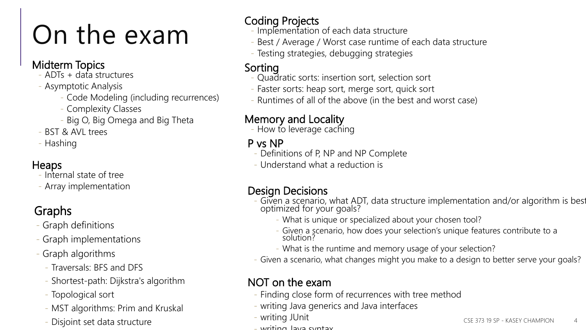## On the exam

#### Midterm Topics

- ADTs + data structures
- Asymptotic Analysis
	- Code Modeling (including recurrences)
	- Complexity Classes
	- Big O, Big Omega and Big Theta
- BST & AVI trees
- Hashing

#### Heaps

- Internal state of tree
- Array implementation

### Graphs

- Graph definitions
- Graph implementations
- Graph algorithms
	- Traversals: BFS and DFS
	- Shortest-path: Dijkstra's algorithm
	- Topological sort
	- MST algorithms: Prim and Kruskal
	-

### Coding Projects

- Implementation of each data structure
- Best / Average / Worst case runtime of each data structure
- Testing strategies, debugging strategies

#### Sorting

- Quadratic sorts: insertion sort, selection sort
- Faster sorts: heap sort, merge sort, quick sort
- Runtimes of all of the above (in the best and worst case)

#### Memory and Locality

- How to leverage caching

#### P vs NP

- Definitions of P, NP and NP Complete
- Understand what a reduction is

#### Design Decisions

- Given a scenario, what ADT, data structure implementation and/or algorithm is best optimized for your goals?
	- What is unique or specialized about your chosen tool?
	- Given a scenario, how does your selection's unique features contribute to a solution?
	- What is the runtime and memory usage of your selection?
- Given a scenario, what changes might you make to a design to better serve your goals?

#### NOT on the exam

- Finding close form of recurrences with tree method
- writing Java generics and Java interfaces
- writing JUnit
- Disjoint set data structure **CALC CONSERVERSITY OF A CONSERVERSITY OF A CONSERVERSITY OF A CSE 373 19 SP KASEY CHAMPION** 
	- writing Java syntax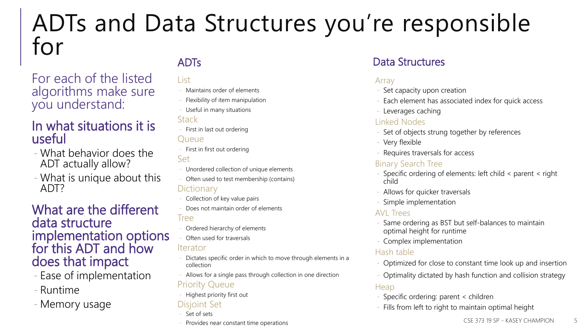### ADTs and Data Structures you're responsible for

For each of the listed algorithms make sure you understand:

#### In what situations it is useful

- What behavior does the ADT actually allow?
- What is unique about this ADT?

#### What are the different data structure implementation options for this ADT and how does that impact

- Ease of implementation
- Runtime
- Memory usage

#### List

- Maintains order of elements
- Flexibility of item manipulation
- Useful in many situations

#### **Stack**

- First in last out ordering **Oueue**
- First in first out ordering Set
- Unordered collection of unique elements
- Often used to test membership (contains) **Dictionary**
- Collection of key value pairs
- Does not maintain order of elements Tree
- Ordered hierarchy of elements
- Often used for traversals

#### Iterator

- Dictates specific order in which to move through elements in a collection
- Allows for a single pass through collection in one direction

#### Priority Queue

- Highest priority first out

#### Disjoint Set

- Set of sets
- Provides near constant time operations Services CSE 373 19 SP KASEY CHAMPION SERVICHAMPION S

#### ADTs **Data Structures**

#### Array

- Set capacity upon creation
- Each element has associated index for quick access
- Leverages caching

#### Linked Nodes

- Set of objects strung together by references
- Very flexible
- Requires traversals for access

#### Binary Search Tree

- Specific ordering of elements: left child < parent < right child
- Allows for quicker traversals
- Simple implementation

#### AVL Trees

- Same ordering as BST but self-balances to maintain optimal height for runtime
- Complex implementation

#### Hash table

- Optimized for close to constant time look up and insertion
- Optimality dictated by hash function and collision strategy

#### **Heap**

- Specific ordering: parent < children
- Fills from left to right to maintain optimal height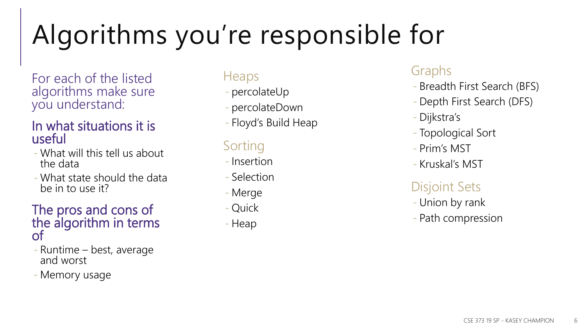## Algorithms you're responsible for

For each of the listed algorithms make sure you understand:

#### In what situations it is useful

- What will this tell us about the data
- What state should the data be in to use it?

#### The pros and cons of the algorithm in terms of

- Runtime best, average and worst
- Memory usage

#### Heaps

- percolateUp
- percolateDown
- Floyd's Build Heap

### Sorting

- Insertion
- Selection
- Merge
- Quick
- Heap

### Graphs

- Breadth First Search (BFS)
- Depth First Search (DFS)
- Dijkstra's
- Topological Sort
- Prim's MST
- Kruskal's MST

### Disjoint Sets

- Union by rank
- Path compression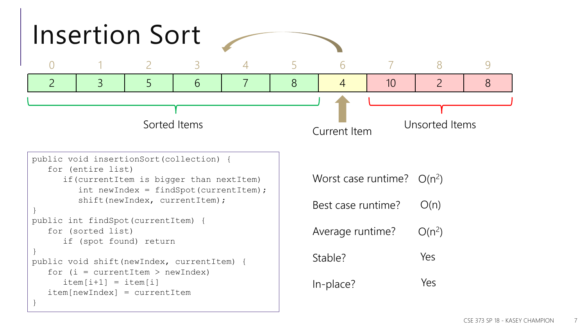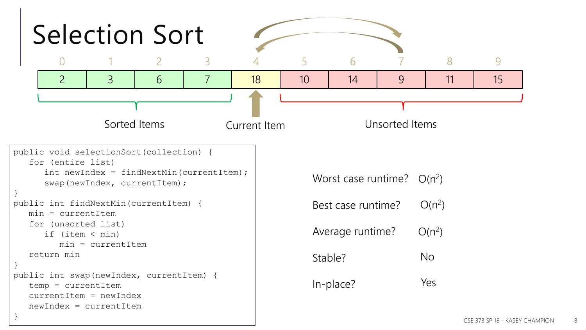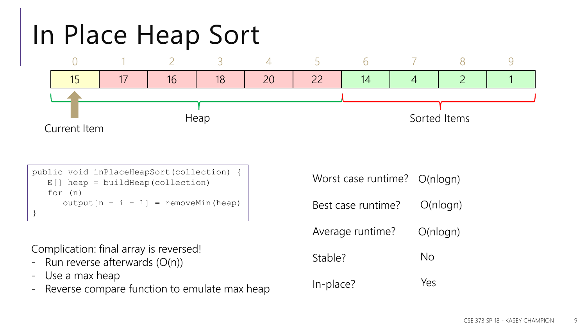

```
public void inPlaceHeapSort(collection) {
   E[] heap = buildHeap(collection)
   for (n) 
      output[n - i - 1] = removeMin(head)}
```
Complication: final array is reversed!

- Run reverse afterwards (O(n))
- Use a max heap
- Reverse compare function to emulate max heap

Worst case runtime? Best case runtime? Average runtime? Stable? In-place? O(nlogn) O(nlogn) No Yes O(nlogn)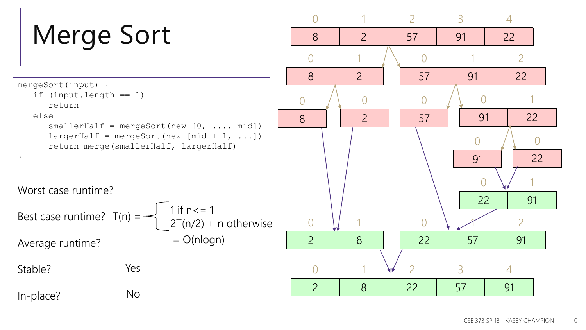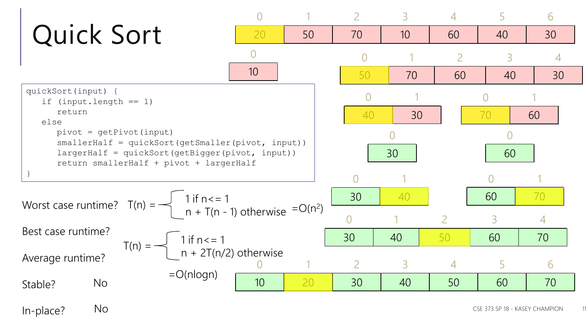

In-place? No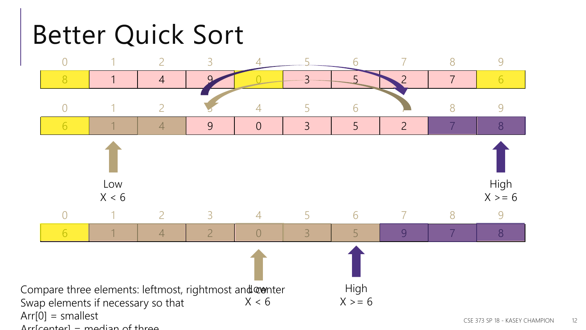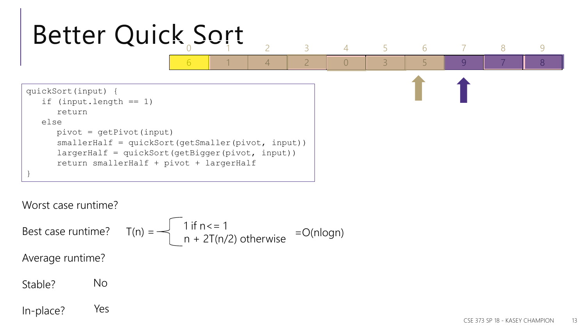

Worst case runtime?

Best case runtime? Average runtime? Stable? 1 if  $n < 1$  $T(n) =$   $\begin{cases} \n\begin{array}{c} \n\begin{array}{c} \n\text{if } n < -1 \\ \n\text{if } n \neq 2\end{array} \n\end{cases}$  otherwise  $\begin{array}{c} \n= O(n \text{log} n) \n\end{array}$ No

In-place? Yes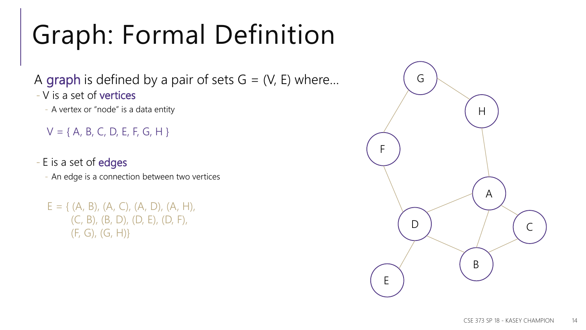## Graph: Formal Definition

A graph is defined by a pair of sets  $G = (V, E)$  where... - V is a set of vertices

- A vertex or "node" is a data entity

 $V = \{ A, B, C, D, E, F, G, H \}$ 

- E is a set of edges

- An edge is a connection between two vertices

 $E = \{ (A, B), (A, C), (A, D), (A, H),$ (C, B), (B, D), (D, E), (D, F), (F, G), (G, H)}

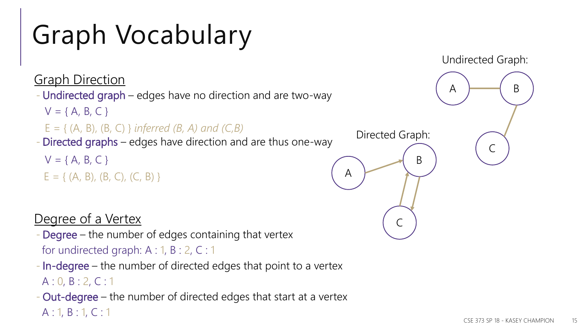## Graph Vocabulary

**Graph Direction** - Undirected graph – edges have no direction and are two-way - Directed graphs – edges have direction and are thus one-way  $V = \{ A, B, C \}$ E = { (A, B), (B, C) } *inferred (B, A) and (C,B)*  $V = \{ A, B, C \}$  $E = \{ (A, B), (B, C), (C, B) \}$  (A Directed Graph:

Degree of a Vertex

- Degree the number of edges containing that vertex for undirected graph: A : 1, B : 2, C : 1
- In-degree the number of directed edges that point to a vertex A : 0, B : 2, C : 1
- Out-degree the number of directed edges that start at a vertex A : 1, B : 1, C : 1



 $A \rightarrow A$ 

Undirected Graph:

 $\mathsf{C}$ 

B

 $\mathsf{C}$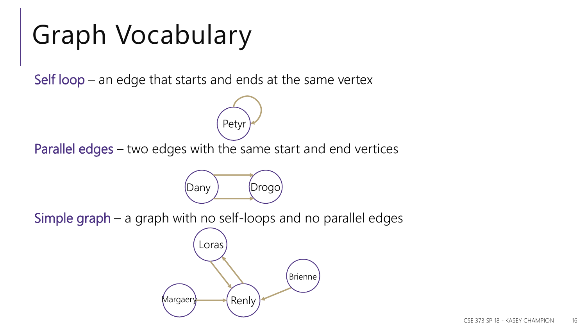### Graph Vocabulary

Self loop – an edge that starts and ends at the same vertex

Parallel edges – two edges with the same start and end vertices



Petyr

Simple graph – a graph with no self-loops and no parallel edges

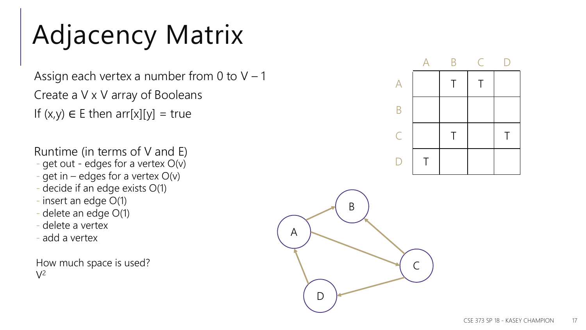## Adjacency Matrix

Assign each vertex a number from 0 to  $V - 1$ Create a V x V array of Booleans If  $(x,y) \in E$  then arr[x][y] = true

Runtime (in terms of V and E)

- get out edges for a vertex O(v)
- get in edges for a vertex  $O(v)$
- decide if an edge exists O(1)
- insert an edge O(1)
- delete an edge O(1)
- delete a vertex
- add a vertex

How much space is used?  $V^2$ 



A

D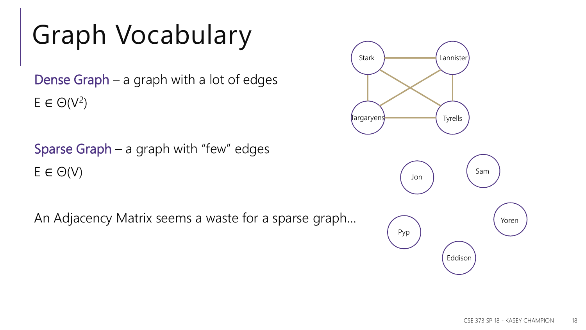### Graph Vocabulary

Dense Graph – a graph with a lot of edges  $E \in \Theta(V^2)$ 

Sparse Graph – a graph with "few" edges  $E \in \Theta(V)$ 

An Adjacency Matrix seems a waste for a sparse graph…

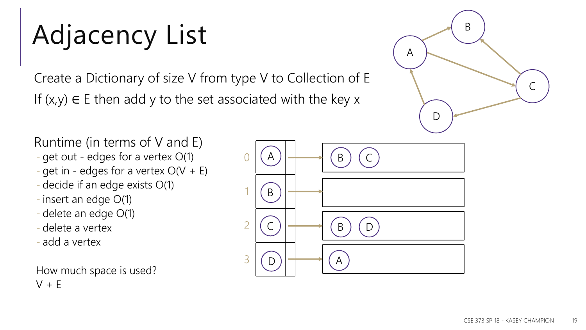## Adjacency List

Create a Dictionary of size V from type V to Collection of E If  $(x,y) \in E$  then add y to the set associated with the key x

A B  $\mathsf{C}$ D

Runtime (in terms of V and E)

- get out edges for a vertex O(1)
- get in edges for a vertex  $O(V + E)$
- decide if an edge exists O(1)
- insert an edge O(1)
- delete an edge O(1)
- delete a vertex
- add a vertex

How much space is used?  $V + E$ 

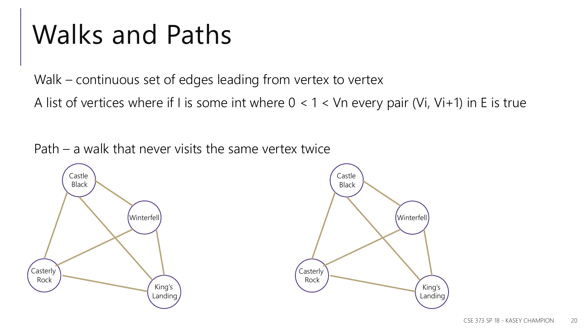### Walks and Paths

Walk – continuous set of edges leading from vertex to vertex

A list of vertices where if I is some int where  $0 < 1 <$  Vn every pair (Vi, Vi+1) in E is true

Path – a walk that never visits the same vertex twice



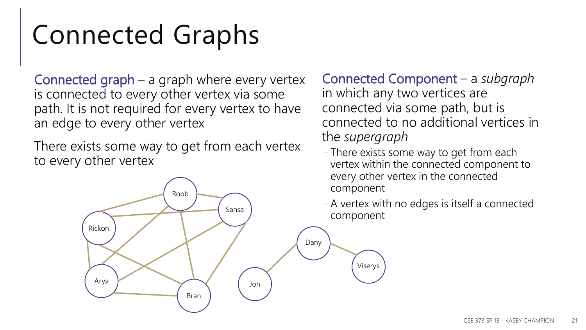### Connected Graphs

Connected graph – a graph where every vertex is connected to every other vertex via some path. It is not required for every vertex to have an edge to every other vertex

There exists some way to get from each vertex to every other vertex

Connected Component – a *subgraph* in which any two vertices are connected via some path, but is connected to no additional vertices in the *supergraph*

- There exists some way to get from each vertex within the connected component to every other vertex in the connected component
- A vertex with no edges is itself a connected component

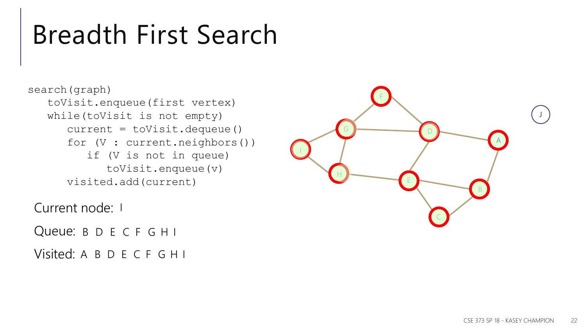### Breadth First Search

search(graph) toVisit.enqueue(first vertex) while(toVisit is not empty) current = toVisit.dequeue() for (V : current.neighbors()) if (V is not in queue) toVisit.enqueue(v) visited.add(current)

Current node: I

Current node: 1<br>Queue: B D E C F G H I

Visited: A B D E C F G H I

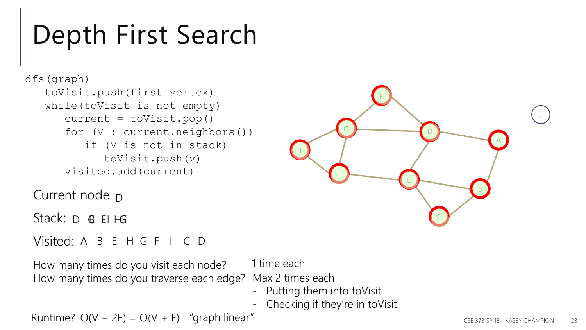### Depth First Search

```
dfs(graph) 
   toVisit.push(first vertex)
   while(toVisit is not empty) 
      current = toVisit.pop()
      for (V : current.neighbors())
         if (V is not in stack) 
            toVisit.push(v)
      visited.add(current)
```
Current node <sub>D</sub>

Stack: D B EI HG

#### Visited: A B E H G F I C D

How many times do you visit each node? How many times do you traverse each edge? 1 time each Max 2 times each

- Putting them into toVisit
- Checking if they're in toVisit

F

G

H

I

Runtime?  $O(V + 2E) = O(V + E)$  "graph linear"



B

A

J

C

D

E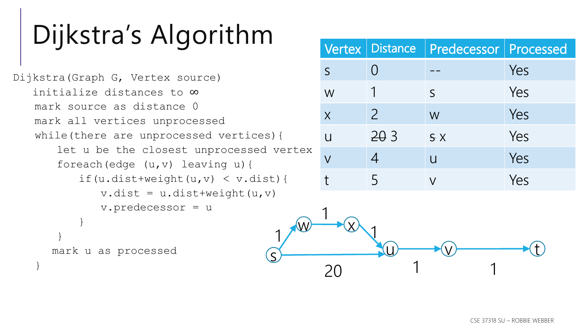### Dijkstra's Algorithm

```
Dijkstra(Graph G, Vertex source) 
   initialize distances to ∞
   mark source as distance 0
   mark all vertices unprocessed
   while(there are unprocessed vertices){
       let u be the closest unprocessed vertex
       foreach(edge (u,v) leaving u){
          if(u.dist+weight(u,v) \langle v.dist\rangle {
              v.dist = u.dist+weight(u,v)v.predecessor = u
           }
       }
      mark u as processed
   }
                                          s
                                           1
```

|                |                          | Vertex   Distance   Predecessor   Processed |     |
|----------------|--------------------------|---------------------------------------------|-----|
| $\mathsf{S}$   |                          |                                             | Yes |
| W              |                          | $\mathsf S$                                 | Yes |
| $\overline{X}$ | $\overline{\mathcal{C}}$ | W                                           | Yes |
| $\mathbf{U}$   | 203                      | S X                                         | Yes |
| $\overline{V}$ | 4                        | $\overline{u}$                              | Yes |
|                | 5                        | $\mathsf{V}$                                | Yes |

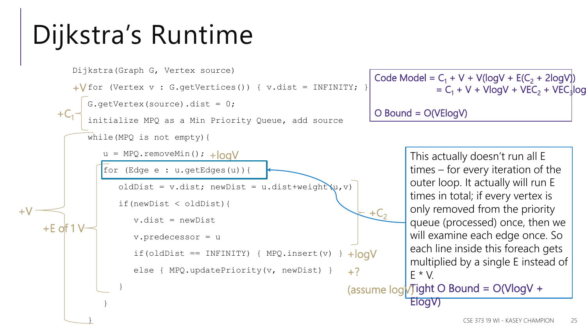## Dijkstra's Runtime

```
Dijkstra(Graph G, Vertex source)
```

```
+V for (Vertex v : G.getVertices()) { v.dist = INFINITY; }
```

```
G.getVertex(source).dist = 0;
```
initialize MPQ as a Min Priority Queue, add source

```
while(MPQ is not empty){
```
}

}

}

 $+C_1$ 

+E of 1 V

+V

```
u = MPQ.removeMin(); + | 0 Q V
```
for (Edge e : u.getEdges(u)){

oldDist = v.dist; newDist = u.dist+weight $(u, v)$ 

```
if(newDist < oldDist){
```
v.dist = newDist

```
v.predecessor = u
```

```
if(oldDist == INFINITE) { MPQ.insert(v) }+logV
```
else { MPQ.updatePriority(v, newDist) } +? Code Model =  $C_1$  + V + V(logV + E( $C_2$  + 2logV))  $= C_1 + V + V \log V + VEC_2 + VEC_3 \log$ O Bound = O(VElogV)

> This actually doesn't run all E times – for every iteration of the outer loop. It actually will run E times in total; if every vertex is only removed from the priority queue (processed) once, then we will examine each edge once. So each line inside this foreach gets multiplied by a single E instead of  $F * V$

(assume  $log$  $V$ Tight O Bound = O(VlogV + ElogV)

 $+C<sub>2</sub>$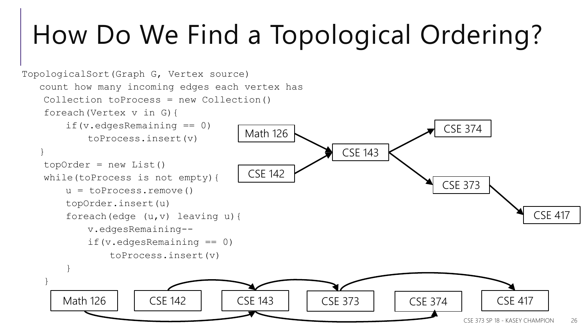## How Do We Find a Topological Ordering?

```
CSE 373 SP 18 - KASEY CHAMPION 26
TopologicalSort(Graph G, Vertex source) 
   count how many incoming edges each vertex has
   Collection toProcess = new Collection()
   foreach(Vertex v in G){
       if(v.edgesRemaining == 0)
           toProcess.insert(v)
   }
   topOrder = new List()while(toProcess is not empty){
       u = toProcess.remove()
       topOrder.insert(u)
       foreach(edge (u,v) leaving u){
           v.edgesRemaining--
           if(v.edgesRemaining == 0)
               toProcess.insert(v)
        }
    }
                                       Math 126
                                        CSE 142
                                                        CSE 143
                                                                          CSE 373
                                                                           CSE 374
                                                                                           CSE 417
       Math 126 | | CSE 142 | | CSE 143 | | CSE 373 | | CSE 374 | | CSE 417
```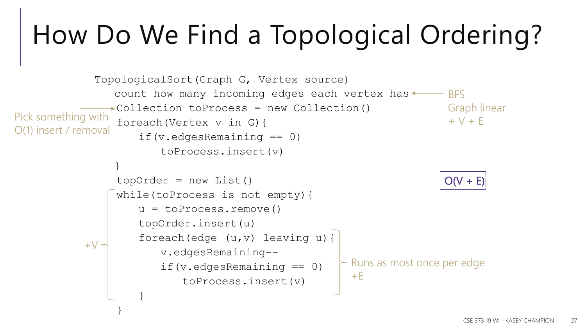## How Do We Find a Topological Ordering?

```
TopologicalSort(Graph G, Vertex source) 
                count how many incoming edges each vertex has \longleftarrow BFS
               Collection toProcess = new Collection()
Pick something with f oreach (Vertex v in G) { + V + Eif(v.edgesRemaining == 0)
                       toProcess.insert(v)
                }
                topOrder = new List()while(toProcess is not empty){
                   u = toProcess.remove()
                    topOrder.insert(u)
                    foreach(edge (u,v) leaving u){
                       v.edgesRemaining--
                       if(v.edgesRemaining == 0)
                           toProcess.insert(v)
                    }
                }
                                                                      Graph linear
O(1) insert / removal
           +\sqrt{ }- Runs as most once per edge
                                                      +EO(V + E)
```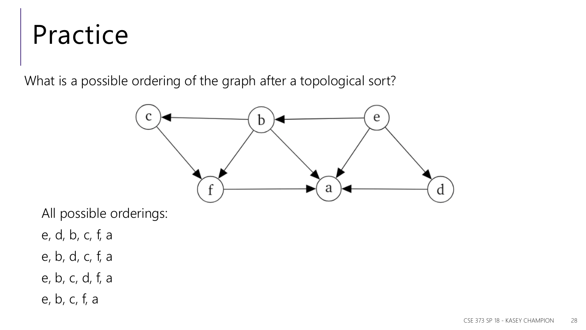### Practice

What is a possible ordering of the graph after a topological sort?



All possible orderings:

- e, d, b, c, f, a
- e, b, d, c, f, a
- e, b, c, d, f, a
- e, b, c, f, a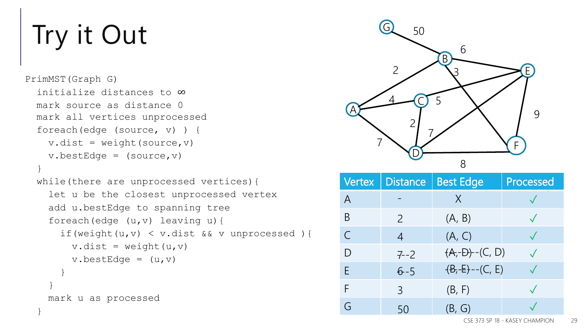## Try it Out

}

```
PrimMST(Graph G) 
  initialize distances to ∞
 mark source as distance 0
 mark all vertices unprocessed
  foreach(edge (source, v) ) {
    v.dist = weight(source, v)v.bestEdge = (source, v)}
  while(there are unprocessed vertices){
    let u be the closest unprocessed vertex
    add u.bestEdge to spanning tree
    foreach(edge (u,v) leaving u){
      if(weight(u,v) < v.dist && v unprocessed ){
        v.dist = weight(u,v)v.bestEdge = (u, v)}
    }
    mark u as processed
```


|                | Vertex   Distance | <b>Best Edge</b>    | Processed |
|----------------|-------------------|---------------------|-----------|
| $\overline{A}$ |                   | $\chi$              |           |
| B              | $\mathcal{P}$     | (A, B)              |           |
| $\mathsf{C}$   | $\overline{4}$    | (A, C)              |           |
| D              | $7 - 2$           | $(A,-D)$ - $(C, D)$ |           |
| F              | $6 - 5$           | $(B,-E)$ --(C, E)   |           |
| F              | $\overline{3}$    | (B, F)              |           |
|                | 50                | (B, G)              |           |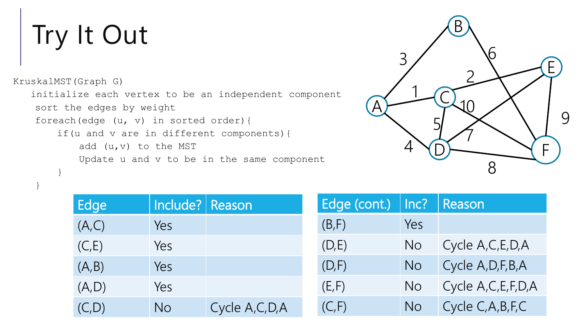## Try It Out

}

```
KruskalMST(Graph G) 
   initialize each vertex to be an independent component
   sort the edges by weight
   foreach(edge (u, v) in sorted order){
       if(u and v are in different components){
           add (u,v) to the MST
           Update u and v to be in the same component
        }
```


| Edge   | Include?   Reason |                  |
|--------|-------------------|------------------|
| (A,C)  | Yes               |                  |
| (C,E)  | Yes               |                  |
| (A, B) | Yes               |                  |
| (A, D) | Yes               |                  |
| (C, D) | No                | Cycle A, C, D, A |

| Edge (cont.) | Inc? | Reason                 |
|--------------|------|------------------------|
| (B, F)       | Yes  |                        |
| (D,E)        | No   | Cycle A, C, E, D, A    |
| (D, F)       | No   | Cycle A, D, F, B, A    |
| (E, F)       | No   | Cycle A, C, E, F, D, A |
| (C, F)       | No   | Cycle C, A, B, F, C    |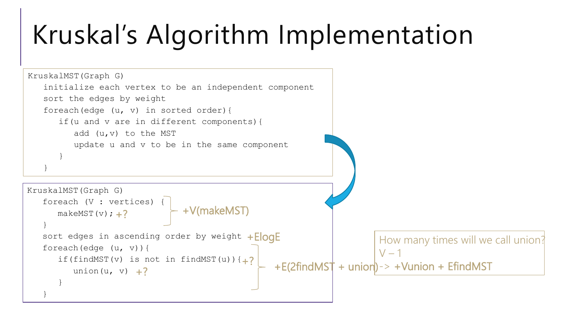### Kruskal's Algorithm Implementation

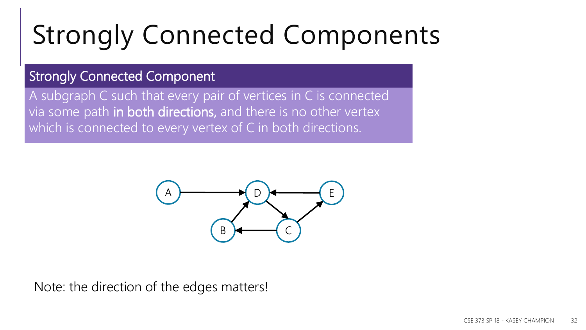## Strongly Connected Components

### Strongly Connected Component

A subgraph C such that every pair of vertices in C is connected via some path in both directions, and there is no other vertex which is connected to every vertex of C in both directions.



Note: the direction of the edges matters!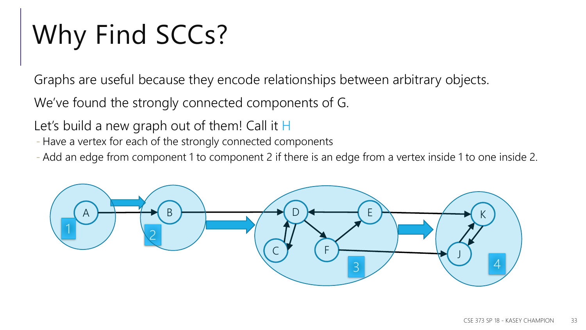## Why Find SCCs?

Graphs are useful because they encode relationships between arbitrary objects.

We've found the strongly connected components of G.

Let's build a new graph out of them! Call it H

- Have a vertex for each of the strongly connected components

- Add an edge from component 1 to component 2 if there is an edge from a vertex inside 1 to one inside 2.

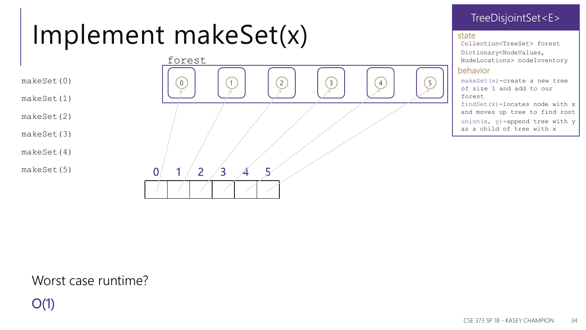### Implement makeSet(x)

makeSet(0)

makeSet(1)

makeSet(2)

makeSet(3)

makeSet(4)

makeSet(5)



#### TreeDisjointSet<E>

#### state

Collection<TreeSet> forest Dictionary<NodeValues, NodeLocations> nodeInventory

#### behavior

makeSet(x)-create a new tree of size 1 and add to our forest

findSet(x)-locates node with x and moves up tree to find root

union( $x$ ,  $y$ ) -append tree with  $y$ as a child of tree with x

### Worst case runtime?

O(1)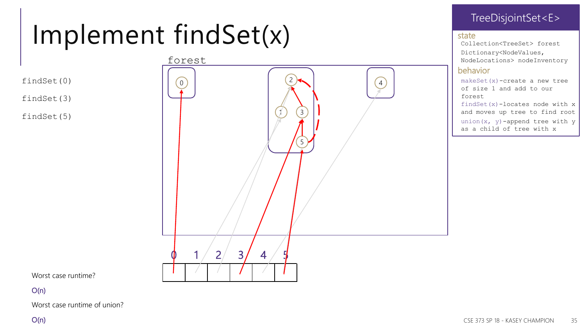### Implement findSet(x)

findSet(0)

findSet(3)

findSet(5)



#### TreeDisjointSet<E>

#### state

Collection<TreeSet> forest Dictionary<NodeValues, NodeLocations> nodeInventory

#### behavior

makeSet(x)-create a new tree of size 1 and add to our forest

findSet(x)-locates node with x and moves up tree to find root

union( $x$ ,  $y$ ) -append tree with  $y$ as a child of tree with x

Worst case runtime?

Worst case runtime of union?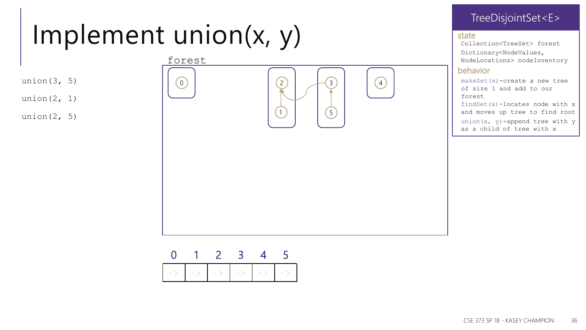### Implement union(x, y)

- union $(3, 5)$
- union $(2, 1)$
- union $(2, 5)$



#### TreeDisjointSet<E>

#### state

Collection<TreeSet> forest Dictionary<NodeValues, NodeLocations> nodeInventory

#### behavior

makeSet(x)-create a new tree of size 1 and add to our forest

findSet(x)-locates node with x and moves up tree to find root

union( $x$ ,  $y$ ) -append tree with  $y$ as a child of tree with x

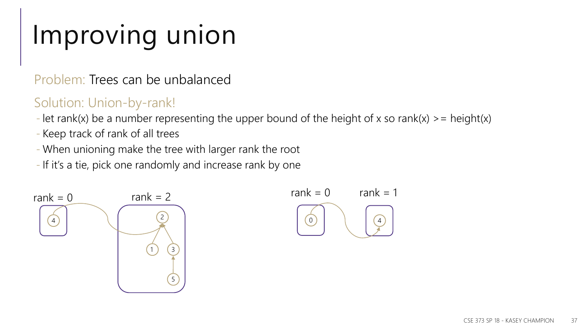### Improving union

Problem: Trees can be unbalanced

### Solution: Union-by-rank!

- let rank(x) be a number representing the upper bound of the height of x so rank(x)  $\ge$  = height(x)
- Keep track of rank of all trees
- When unioning make the tree with larger rank the root
- If it's a tie, pick one randomly and increase rank by one



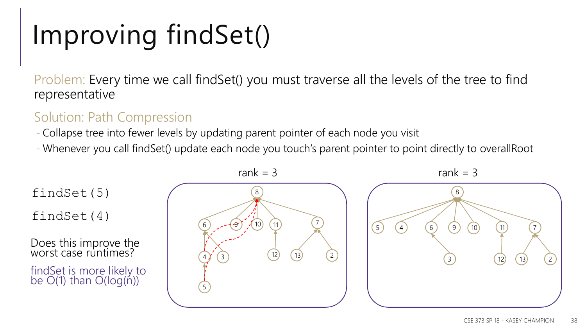## Improving findSet()

Problem: Every time we call findSet() you must traverse all the levels of the tree to find representative

### Solution: Path Compression

- Collapse tree into fewer levels by updating parent pointer of each node you visit

- Whenever you call findSet() update each node you touch's parent pointer to point directly to overallRoot

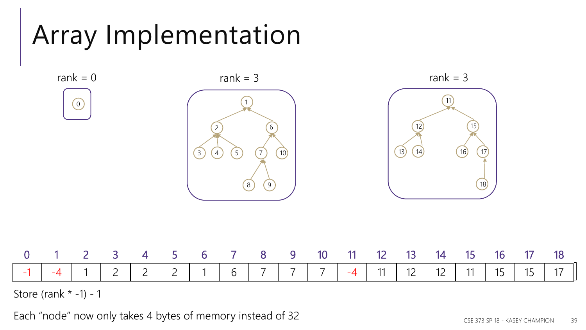### Array Implementation



Store (rank  $* -1$ ) - 1

Each "node" now only takes 4 bytes of memory instead of 32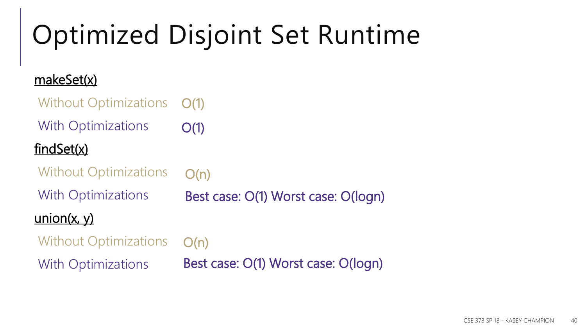# Optimized Disjoint Set Runtime

### makeSet(x)

| <b>Without Optimizations</b> | O(1)                                |
|------------------------------|-------------------------------------|
| <b>With Optimizations</b>    | O(1)                                |
| findSet(x)                   |                                     |
| <b>Without Optimizations</b> | O(n)                                |
| <b>With Optimizations</b>    | Best case: O(1) Worst case: O(logn) |
| $\frac{union(x, y)}{y}$      |                                     |
| <b>Without Optimizations</b> | O(n)                                |
| <b>With Optimizations</b>    | Best case: O(1) Worst case: O(logn) |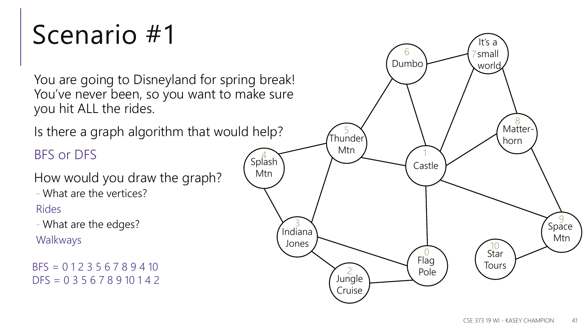### Scenario #1

You are going to Disneyland for spring break! You've never been, so you want to make sure you hit ALL the rides.

Is there a graph algorithm that would help?

### BFS or DFS

How would you draw the graph?

- What are the vertices?

#### Rides

- What are the edges?

Walkways

BFS = 0 1 2 3 5 6 7 8 9 4 10  $DFS = 0 3 5 6 7 8 9 10 1 4 2$ 

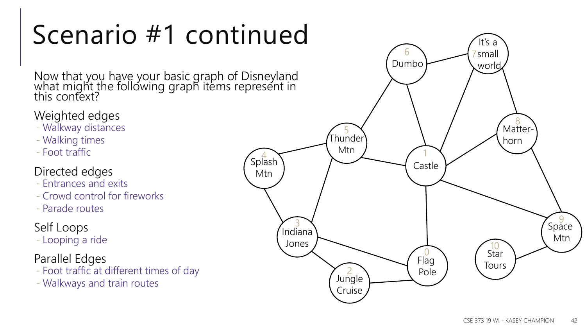## Scenario #1 continued

Now that you have your basic graph of Disneyland what might the following graph items represent in this context?

### Weighted edges

- Walkway distances
- Walking times
- Foot traffic

#### Directed edges

- Entrances and exits
- Crowd control for fireworks
- Parade routes

### Self Loops

- Looping a ride

#### Parallel Edges

- Foot traffic at different times of day
- Walkways and train routes

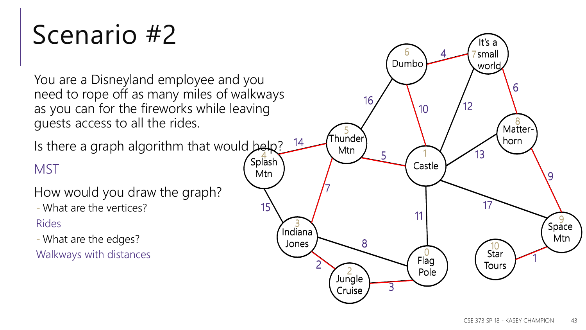### Scenario #2

You are a Disneyland employee and you need to rope off as many miles of walkways as you can for the fireworks while leaving guests access to all the rides.

Is there a graph algorithm that would belp?

### **MST**

How would you draw the graph?

- What are the vertices?

Rides

- What are the edges?

Walkways with distances

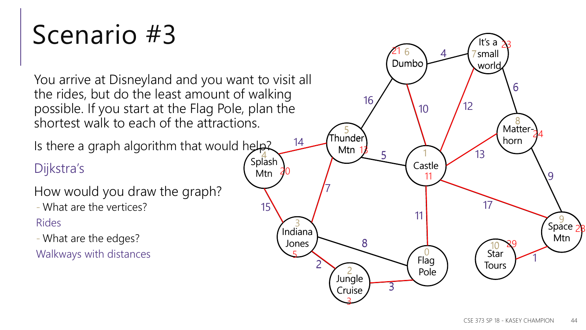### Scenario #3

You arrive at Disneyland and you want to visit all the rides, but do the least amount of walking possible. If you start at the Flag Pole, plan the shortest walk to each of the attractions.

Is there a graph algorithm that would help?

### Dijkstra's

How would you draw the graph?

- What are the vertices?

Rides

- What are the edges?

Walkways with distances

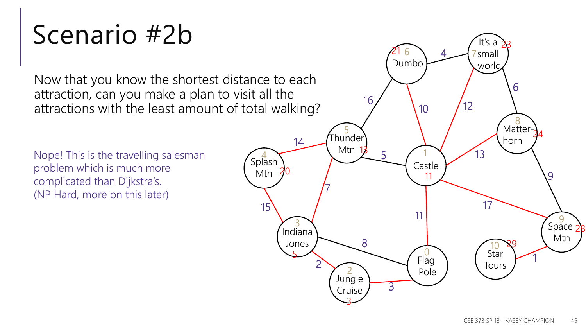### Scenario #2b

Now that you know the shortest distance to each attraction, can you make a plan to visit all the attractions with the least amount of total walking?

Nope! This is the travelling salesman problem which is much more complicated than Dijkstra's. (NP Hard, more on this later)

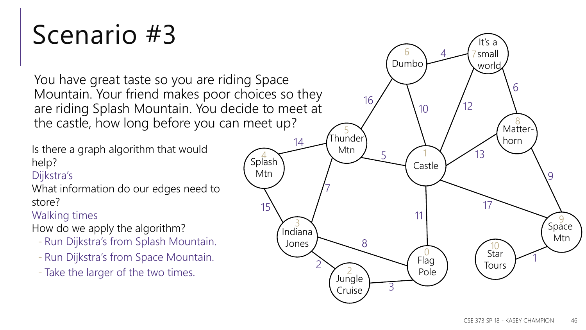### Scenario #3

You have great taste so you are riding Space Mountain. Your friend makes poor choices so they are riding Splash Mountain. You decide to meet at the castle, how long before you can meet up?

Is there a graph algorithm that would help?

#### Dijkstra's

What information do our edges need to store?

Walking times

How do we apply the algorithm?

- Run Dijkstra's from Splash Mountain.
- Run Dijkstra's from Space Mountain.
- Take the larger of the two times.

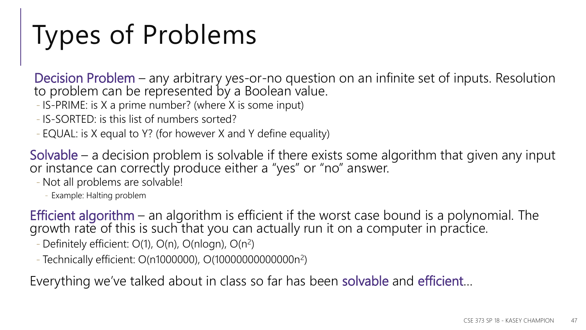## Types of Problems

Decision Problem – any arbitrary yes-or-no question on an infinite set of inputs. Resolution to problem can be represented by a Boolean value.

- IS-PRIME: is X a prime number? (where X is some input)
- IS-SORTED: is this list of numbers sorted?
- EQUAL: is X equal to Y? (for however X and Y define equality)

Solvable – a decision problem is solvable if there exists some algorithm that given any input or instance can correctly produce either a "yes" or "no" answer.

- Not all problems are solvable!

- Example: Halting problem

Efficient algorithm – an algorithm is efficient if the worst case bound is a polynomial. The growth rate of this is such that you can actually run it on a computer in practice.

- Definitely efficient:  $O(1)$ ,  $O(n)$ ,  $O(nlog n)$ ,  $O(n^2)$ 

- Technically efficient: O(n1000000), O(10000000000000n<sup>2</sup> )

Everything we've talked about in class so far has been solvable and efficient...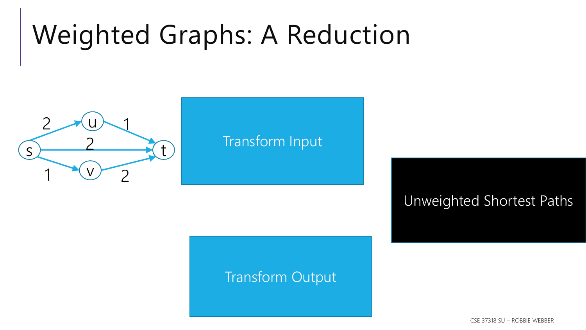### Weighted Graphs: A Reduction



### Transform Input

### Transform Output

Unweighted Shortest Paths

CSE 37318 SU – ROBBIE WEBBER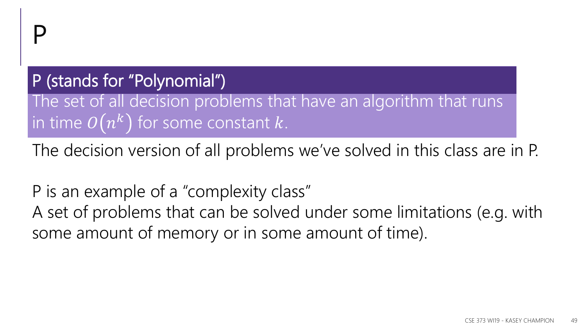### P (stands for "Polynomial")

The set of all decision problems that have an algorithm that runs in time  $O\big(n^k\big)$  for some constant  $k$ .

The decision version of all problems we've solved in this class are in P.

P is an example of a "complexity class" A set of problems that can be solved under some limitations (e.g. with some amount of memory or in some amount of time).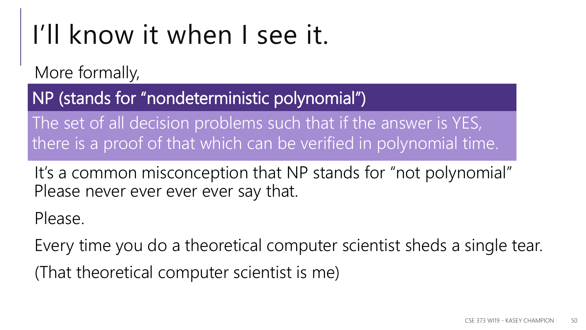### I'll know it when I see it.

More formally,

NP (stands for "nondeterministic polynomial")

The set of all decision problems such that if the answer is YES, there is a proof of that which can be verified in polynomial time.

It's a common misconception that NP stands for "not polynomial" Please never ever ever ever say that.

Please.

Every time you do a theoretical computer scientist sheds a single tear.

(That theoretical computer scientist is me)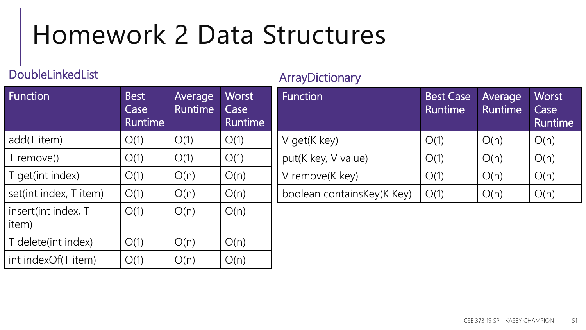### Homework 2 Data Structures

#### DoubleLinkedList

#### ArrayDictionary

| <b>Function</b>              | <b>Best</b><br>Case<br><b>Runtime</b> | Average<br><b>Runtime</b> | <b>Worst</b><br>Case<br><b>Runtime</b> |
|------------------------------|---------------------------------------|---------------------------|----------------------------------------|
| add(T item)                  | O(1)                                  | O(1)                      | O(1)                                   |
| T remove()                   | O(1)                                  | O(1)                      | O(1)                                   |
| T get(int index)             | O(1)                                  | O(n)                      | O(n)                                   |
| set(int index, T item)       | O(1)                                  | O(n)                      | O(n)                                   |
| insert(int index, T<br>item) | O(1)                                  | O(n)                      | O(n)                                   |
| T delete(int index)          | O(1)                                  | O(n)                      | O(n)                                   |
| int indexOf(T item)          | O(1)                                  | (C)C                      | J(n)                                   |

| Function                   | <b>Best Case</b><br><b>Runtime</b> | Average<br><b>Runtime</b> | Worst<br>Case<br><b>Runtime</b> |
|----------------------------|------------------------------------|---------------------------|---------------------------------|
| V get(K key)               | O(1)                               | O(n)                      | O(n)                            |
| put(K key, V value)        | O(1)                               | O(n)                      | O(n)                            |
| V remove(K key)            | O(1)                               | O(n)                      | O(n)                            |
| boolean containsKey(K Key) | O(1)                               | O(n)                      | J(n)                            |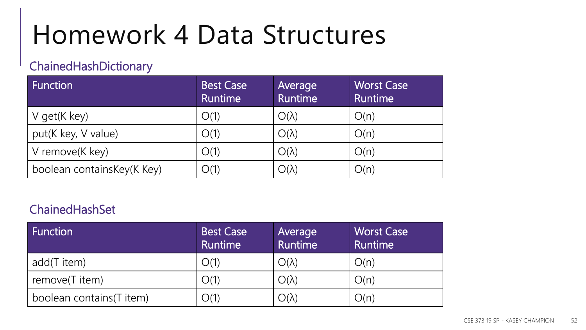### Homework 4 Data Structures

### ChainedHashDictionary

| Function                   | Best Case<br><b>Runtime</b> | Average<br>Runtime | <b>Worst Case</b><br><b>Runtime</b> |
|----------------------------|-----------------------------|--------------------|-------------------------------------|
| V get(K key)               | O(1)                        | $O(\lambda)$       | O(n)                                |
| put(K key, V value)        | O(1)                        | $O(\lambda)$       | O(n)                                |
| V remove(K key)            | O(1)                        | $O(\lambda)$       | O(n)                                |
| boolean containsKey(K Key) | O(1)                        | $O(\lambda)$       | O(n)                                |

#### ChainedHashSet

| Function                 | <b>Best Case</b><br><b>Runtime</b> | Average<br>Runtime  | <b>Worst Case</b><br><b>Runtime</b> |
|--------------------------|------------------------------------|---------------------|-------------------------------------|
| add(T item)              | O(1)                               | $O(\lambda)$        | O(n)                                |
| remove(T item)           | O(1)                               | $O(\lambda)$        | O(n)                                |
| boolean contains(T item) | O(1)                               | $\bigcirc(\lambda)$ | O(n)                                |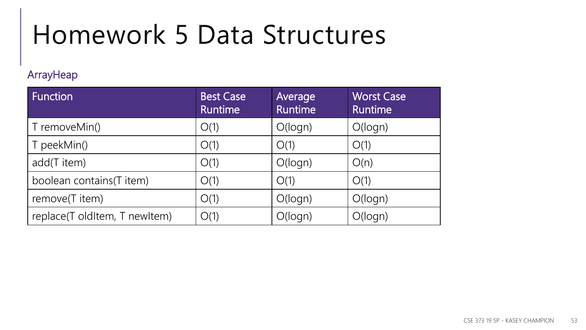## Homework 5 Data Structures

#### **ArrayHeap**

| <b>Function</b>               | <b>Best Case</b><br><b>Runtime</b> | Average<br><b>Runtime</b> | <b>Worst Case</b><br><b>Runtime</b> |
|-------------------------------|------------------------------------|---------------------------|-------------------------------------|
| T removeMin()                 | O(1)                               | O(logn)                   | O(logn)                             |
| T peekMin()                   | O(1)                               | O(1)                      | O(1)                                |
| add(T item)                   | O(1)                               | O(logn)                   | O(n)                                |
| boolean contains(T item)      | O(1)                               | O(1)                      | O(1)                                |
| remove(T item)                | O(1)                               | O(logn)                   | O(logn)                             |
| replace(T oldItem, T newItem) | O(1)                               | O(logn)                   | O(logn)                             |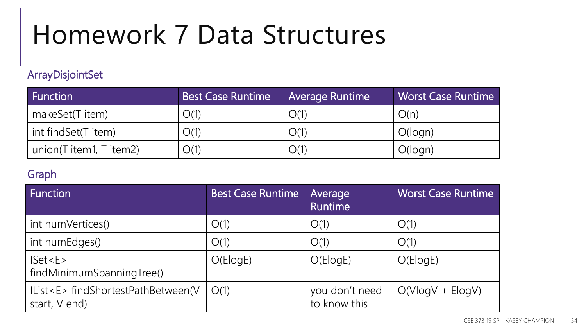## Homework 7 Data Structures

#### ArrayDisjointSet

| Function                | <b>Best Case Runtime</b> | <b>Average Runtime</b> | <b>Worst Case Runtime</b> |
|-------------------------|--------------------------|------------------------|---------------------------|
| makeSet(T item)         | O(1)                     | O(1)                   | O(n)                      |
| int findSet(T item)     | O(1)                     | O(1)                   | O(logn)                   |
| union(T item1, T item2) | O(1)                     | O(1)                   | O(logn)                   |

#### Graph

| Function                                                  | <b>Best Case Runtime</b> | Average<br><b>Runtime</b>      | <b>Worst Case Runtime</b> |
|-----------------------------------------------------------|--------------------------|--------------------------------|---------------------------|
| int numVertices()                                         | O(1)                     | O(1)                           | O(1)                      |
| int numEdges()                                            | O(1)                     | O(1)                           | O(1)                      |
| Iset < E><br>findMinimumSpanningTree()                    | O(ElogE)                 | O(ElogE)                       | O(ElogE)                  |
| IList <e> findShortestPathBetween(V<br/>start, V end)</e> | O(1)                     | you don't need<br>to know this | $O(V \log V + E \log V)$  |